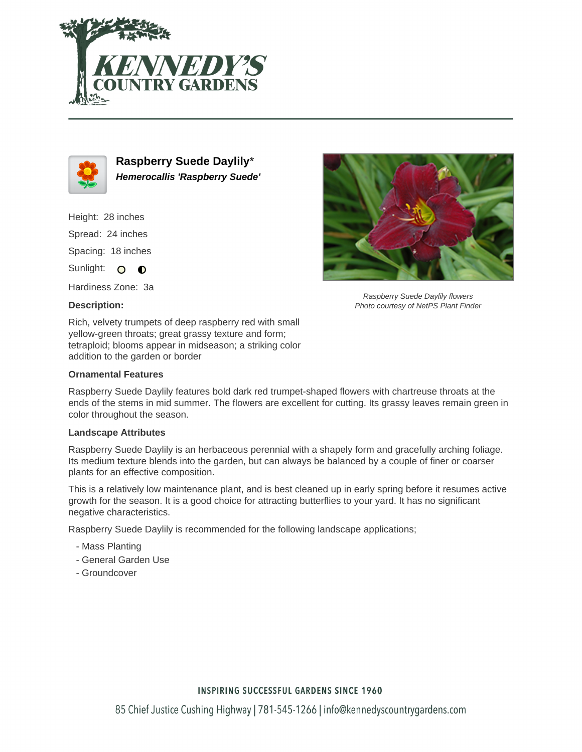



**Raspberry Suede Daylily**\* **Hemerocallis 'Raspberry Suede'**

Height: 28 inches Spread: 24 inches Spacing: 18 inches

Sunlight: O **O** 

Hardiness Zone: 3a

## **Description:**

Raspberry Suede Daylily flowers Photo courtesy of NetPS Plant Finder

Rich, velvety trumpets of deep raspberry red with small yellow-green throats; great grassy texture and form; tetraploid; blooms appear in midseason; a striking color addition to the garden or border

## **Ornamental Features**

Raspberry Suede Daylily features bold dark red trumpet-shaped flowers with chartreuse throats at the ends of the stems in mid summer. The flowers are excellent for cutting. Its grassy leaves remain green in color throughout the season.

#### **Landscape Attributes**

Raspberry Suede Daylily is an herbaceous perennial with a shapely form and gracefully arching foliage. Its medium texture blends into the garden, but can always be balanced by a couple of finer or coarser plants for an effective composition.

This is a relatively low maintenance plant, and is best cleaned up in early spring before it resumes active growth for the season. It is a good choice for attracting butterflies to your yard. It has no significant negative characteristics.

Raspberry Suede Daylily is recommended for the following landscape applications;

- Mass Planting
- General Garden Use
- Groundcover

## **INSPIRING SUCCESSFUL GARDENS SINCE 1960**